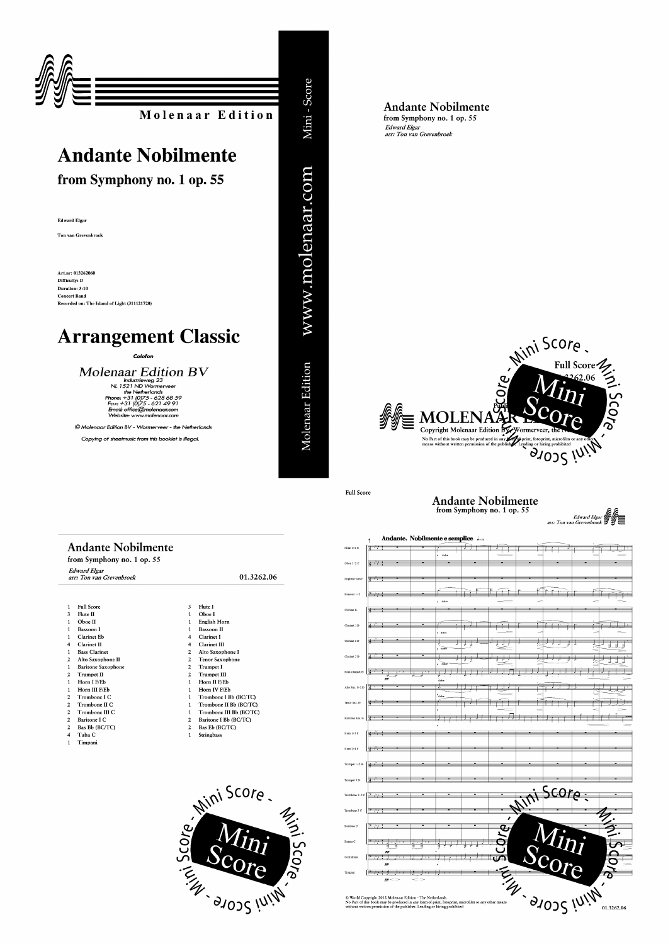

## ndante Nobil<mark>n</mark>

Extra Ligar<br>Edward Elgar<br>arr: Ton van Grevenbroek



## danie izonimenie  $\begin{CD} \textbf{ndante Nobilmente} \ \textbf{on Symphony no. 1 op. 55} \ \textbf{a} \ \textbf{a} \ \textbf{a} \ \textbf{a} \ \textbf{a} \ \textbf{a} \ \textbf{a} \ \textbf{a} \ \textbf{a} \ \textbf{a} \ \textbf{a} \ \textbf{b} \ \textbf{a} \ \textbf{b} \ \textbf{a} \ \textbf{b} \ \textbf{b} \ \textbf{b} \ \textbf{b} \ \textbf{b} \ \textbf{b} \ \textbf{b} \ \textbf{b} \ \textbf{b} \ \textbf{b} \ \textbf{b} \ \text$

|  | Edward Elgar <b>Joy</b> |  |  |
|--|-------------------------|--|--|
|  |                         |  |  |

|                         | 1              | Andante. Nobilmente e semplice                                                                                                                                                                                                               |   |            |  |               |            |
|-------------------------|----------------|----------------------------------------------------------------------------------------------------------------------------------------------------------------------------------------------------------------------------------------------|---|------------|--|---------------|------------|
| Flute $1+2$ C           |                |                                                                                                                                                                                                                                              |   | delos      |  |               |            |
| Obst 1+2 C              |                |                                                                                                                                                                                                                                              |   |            |  |               |            |
| English Hern F          |                |                                                                                                                                                                                                                                              |   |            |  |               |            |
| Bassoon $1+2$           | $\overline{ }$ |                                                                                                                                                                                                                                              |   |            |  |               |            |
| Claringt <b>E</b>       |                |                                                                                                                                                                                                                                              |   | dolor      |  |               |            |
| Clarinet 1 B            |                |                                                                                                                                                                                                                                              |   |            |  |               |            |
| Clarinet 2 B            |                |                                                                                                                                                                                                                                              |   | r dala     |  |               |            |
|                         |                |                                                                                                                                                                                                                                              |   | $.$ deter  |  |               |            |
| Clinitet 3 B            |                |                                                                                                                                                                                                                                              |   | dalis      |  |               | ⋣<br>4     |
| <b>Bass Clarinet By</b> |                | pp                                                                                                                                                                                                                                           |   | .<br>delen |  |               |            |
| Alto Sax. 1+2E-         |                |                                                                                                                                                                                                                                              |   | ade        |  |               |            |
| Tenor Sax B-            |                |                                                                                                                                                                                                                                              |   |            |  |               |            |
| Baritone Sax E          |                |                                                                                                                                                                                                                                              |   |            |  |               |            |
| Horn $1+3$ F            |                |                                                                                                                                                                                                                                              |   |            |  |               |            |
| Horn $2+4$ F            |                |                                                                                                                                                                                                                                              |   |            |  |               |            |
| Trumpet 1+2 B-          |                |                                                                                                                                                                                                                                              |   |            |  |               |            |
| Trumpet 3 B-            |                |                                                                                                                                                                                                                                              |   |            |  |               |            |
| Trombens 1+2 C          |                |                                                                                                                                                                                                                                              |   |            |  | ni Sco        |            |
|                         |                |                                                                                                                                                                                                                                              |   |            |  |               |            |
| Trombans 3 C            |                |                                                                                                                                                                                                                                              |   |            |  |               |            |
| Barkone C               |                |                                                                                                                                                                                                                                              |   |            |  |               |            |
| Basses C                |                | ۰                                                                                                                                                                                                                                            |   |            |  |               |            |
| Contrabase              |                | pp<br>p                                                                                                                                                                                                                                      |   |            |  |               |            |
| Timpani                 |                | pp                                                                                                                                                                                                                                           | × |            |  |               |            |
|                         |                |                                                                                                                                                                                                                                              |   |            |  |               |            |
|                         |                | C World Copyright 2012 Molenaar Edition - The Netherlands<br>No Part of this book may be produced in any form of print, fotoprint, microfilm or any other means<br>without written permission of the publisher. Lending or hiring prohibited |   |            |  | <b>MIDITY</b> | 01.3262.06 |
|                         |                |                                                                                                                                                                                                                                              |   |            |  |               |            |

from Symphony no. 1 op. 55 Andante Nobilmente

|                | <b>Edward Elgar</b><br>arr: Ton van Grevenbroek |                         | 01.3262.06              |
|----------------|-------------------------------------------------|-------------------------|-------------------------|
|                |                                                 |                         |                         |
| 1              | <b>Full Score</b>                               | 3                       | Flute I                 |
| 3              | Flute II                                        | 1                       | Oboe I                  |
| 1              | Oboe II                                         | 1                       | <b>English Horn</b>     |
| 1              | Bassoon I                                       | 1                       | <b>Bassoon II</b>       |
| 1              | <b>Clarinet Eb</b>                              | 4                       | Clarinet I              |
| 4              | Clarinet II                                     | $\overline{\mathbf{4}}$ | <b>Clarinet III</b>     |
| 1              | <b>Bass Clarinet</b>                            | $\overline{2}$          | Alto Saxophone I        |
| $\overline{2}$ | Alto Saxophone II                               | $\overline{2}$          | Tenor Saxophone         |
| 1              | <b>Baritone Saxophone</b>                       | $\overline{2}$          | <b>Trumpet I</b>        |
| $\overline{2}$ | Trumpet II                                      | $\overline{2}$          | Trumpet III             |
| 1              | Horn I F/Eb                                     | 1                       | Horn II F/Eb            |
| 1              | Horn III F/Eb                                   | 1                       | Horn IV F/Eb            |
| $\overline{2}$ | Trombone I C                                    | 1                       | Trombone I Bb (BC/TC)   |
| $\overline{2}$ | Trombone II C                                   | 1                       | Trombone II Bb (BC/TC)  |
| $\overline{a}$ | Trombone III C                                  | 1                       | Trombone III Bb (BC/TC) |
| $\mathbf{2}$   | Baritone I C                                    | $\mathbf{2}$            | Baritone I Bb (BC/TC)   |
| $\mathbf{2}$   | Bas Bb (BC/TC)                                  | 2                       | Bas Eb (BC/TC)          |
| 4              | Tuba C                                          | $\mathbf{1}$            | Stringbass              |
| $\mathbf{1}$   | Timpani                                         |                         |                         |

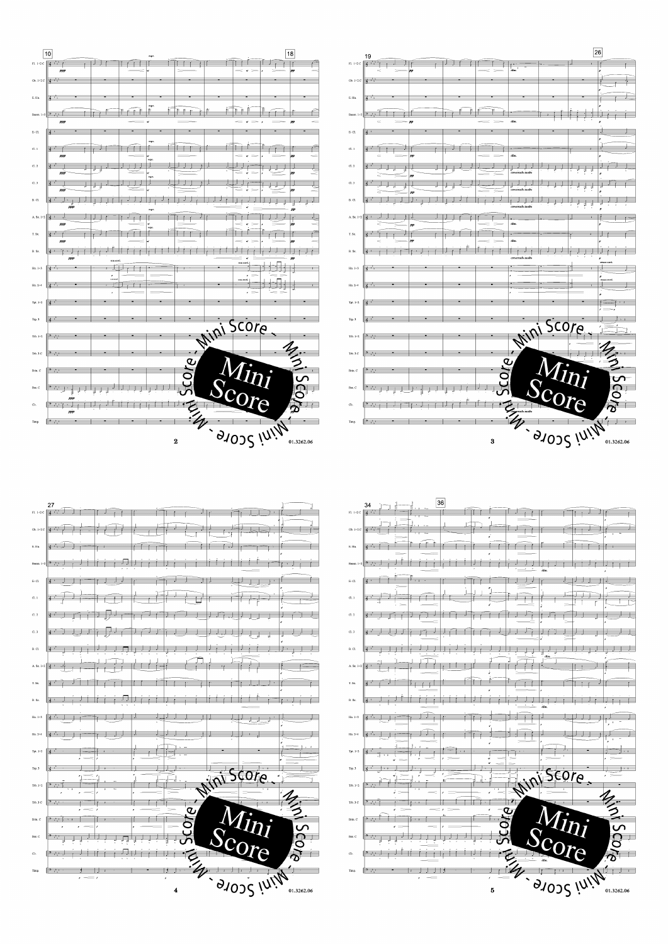



| $\bar{\nu}$ 1+2 $\bar{\nu}$ | 27<br>ig.         |  |  |   |      |           |            |
|-----------------------------|-------------------|--|--|---|------|-----------|------------|
| Ob. $1+2C$                  |                   |  |  |   |      |           |            |
| $E$ . Hn.                   |                   |  |  |   |      |           |            |
| Bassn <sub>1+2</sub>        |                   |  |  |   |      |           |            |
|                             |                   |  |  |   |      |           |            |
| $\mathbf{E}(\mathbf{C})$    | ਵ                 |  |  |   |      |           |            |
| GL <sub>1</sub>             | $\ddot{\epsilon}$ |  |  |   |      |           |            |
| CL2                         | Ŧ                 |  |  |   |      |           |            |
| CL3                         | $\left  \right $  |  |  |   |      |           |            |
| B. CL                       | Ŧ                 |  |  |   |      |           | ż          |
| A $3x.1+2$                  |                   |  |  |   |      |           |            |
| T. Sx.                      | ÷                 |  |  |   |      |           |            |
|                             |                   |  |  |   |      |           |            |
| $B.$ Sx                     |                   |  |  |   |      |           |            |
| $Hn. 1+3$                   |                   |  |  |   |      |           |            |
| $Hn. 2+4$                   |                   |  |  |   |      |           |            |
| Tpt. 1+2                    |                   |  |  |   |      |           |            |
| Trp. 3                      |                   |  |  |   |      |           |            |
| $Trb. 1+2$                  |                   |  |  |   |      | ini Score |            |
| Trb. $3C$                   |                   |  |  |   |      |           |            |
| Bets. C                     |                   |  |  | s |      | ō         |            |
| Bas. C                      |                   |  |  |   |      |           |            |
| cs.                         |                   |  |  |   | Mir  |           |            |
| Timp                        |                   |  |  |   |      |           |            |
|                             |                   |  |  |   | 2016 |           |            |
|                             |                   |  |  |   |      |           | 01.3262.06 |

|                                   | 34 | 36 |   |  |                                 |            |
|-----------------------------------|----|----|---|--|---------------------------------|------------|
| FL 1+2C                           |    |    |   |  |                                 |            |
|                                   |    |    |   |  |                                 |            |
| Ob. $1+2C$                        |    |    |   |  |                                 |            |
|                                   |    |    |   |  |                                 |            |
| $\mathbb B$ . Hn,                 |    |    |   |  |                                 |            |
| Bassn. 1                          |    |    |   |  |                                 |            |
|                                   |    |    |   |  |                                 |            |
| $\mathbb B\backslash\mathbf C$    |    |    |   |  |                                 |            |
|                                   |    |    |   |  |                                 |            |
| $\rm{cl.}$ 1                      |    |    |   |  |                                 |            |
|                                   |    |    |   |  |                                 |            |
| CL2                               |    |    |   |  |                                 |            |
| CL3                               |    |    |   |  |                                 |            |
|                                   |    |    |   |  |                                 |            |
| B. C1                             |    |    |   |  |                                 |            |
|                                   |    |    |   |  | dias                            |            |
| A. Sx. 1+2                        |    |    |   |  |                                 |            |
|                                   |    |    |   |  |                                 |            |
| $\mathbf{T}.\mathbf{S}\mathbf{x}$ |    |    |   |  |                                 |            |
| B. Sx                             |    |    |   |  |                                 |            |
|                                   |    |    |   |  |                                 |            |
| Ha. $1+3$                         |    |    |   |  |                                 |            |
|                                   |    |    |   |  |                                 |            |
| $Hn. 2 + 4$                       |    |    |   |  |                                 |            |
|                                   |    |    |   |  |                                 |            |
| тр. 1-2                           | š. |    |   |  |                                 |            |
| Trp. 3                            |    |    |   |  |                                 |            |
|                                   |    |    |   |  |                                 |            |
| Trb. $1+2$                        |    |    |   |  | <i>pi</i> Score                 |            |
|                                   |    |    |   |  |                                 |            |
| Trb. $3C$                         |    |    |   |  |                                 |            |
|                                   |    |    |   |  | Min<br>Score                    |            |
| $_{\rm{Bth.}}$ $_{\rm{C}}$        |    |    |   |  |                                 |            |
| 8a.c                              |    |    |   |  |                                 |            |
|                                   |    |    |   |  |                                 |            |
| ct.                               |    |    |   |  |                                 |            |
|                                   |    |    |   |  |                                 | o          |
| Timp                              |    |    |   |  |                                 |            |
|                                   |    |    |   |  |                                 |            |
|                                   |    |    | 5 |  | $\overline{\nu_{\mu\nu_{\nu}}}$ | 01.3262.06 |